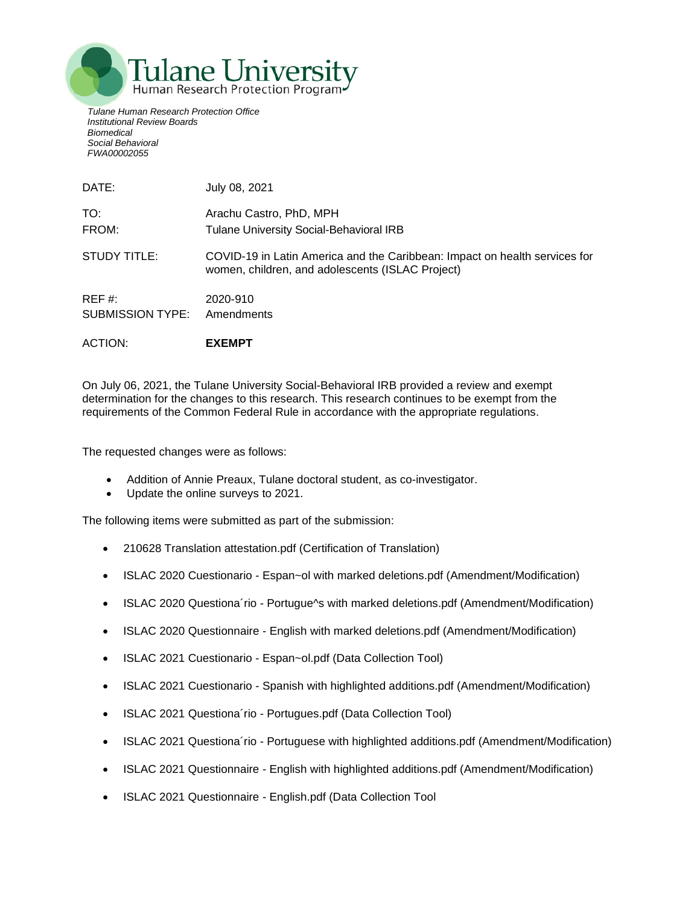

*Tulane Human Research Protection Office Institutional Review Boards Biomedical Social Behavioral FWA00002055*

| DATE:            | July 08, 2021                                                                                                                  |
|------------------|--------------------------------------------------------------------------------------------------------------------------------|
| TO:              | Arachu Castro, PhD, MPH                                                                                                        |
| FROM:            | Tulane University Social-Behavioral IRB                                                                                        |
| STUDY TITLE:     | COVID-19 in Latin America and the Caribbean: Impact on health services for<br>women, children, and adolescents (ISLAC Project) |
| REF#             | 2020-910                                                                                                                       |
| SUBMISSION TYPE: | Amendments                                                                                                                     |

ACTION: **EXEMPT**

On July 06, 2021, the Tulane University Social-Behavioral IRB provided a review and exempt determination for the changes to this research. This research continues to be exempt from the requirements of the Common Federal Rule in accordance with the appropriate regulations.

The requested changes were as follows:

- Addition of Annie Preaux, Tulane doctoral student, as co-investigator.
- Update the online surveys to 2021.

The following items were submitted as part of the submission:

- 210628 Translation attestation.pdf (Certification of Translation)
- ISLAC 2020 Cuestionario Espan~ol with marked deletions.pdf (Amendment/Modification)
- ISLAC 2020 Questiona´rio Portugue^s with marked deletions.pdf (Amendment/Modification)
- ISLAC 2020 Questionnaire English with marked deletions.pdf (Amendment/Modification)
- ISLAC 2021 Cuestionario Espan~ol.pdf (Data Collection Tool)
- ISLAC 2021 Cuestionario Spanish with highlighted additions.pdf (Amendment/Modification)
- ISLAC 2021 Questiona´rio Portugues.pdf (Data Collection Tool)
- ISLAC 2021 Questiona´rio Portuguese with highlighted additions.pdf (Amendment/Modification)
- ISLAC 2021 Questionnaire English with highlighted additions.pdf (Amendment/Modification)
- ISLAC 2021 Questionnaire English.pdf (Data Collection Tool